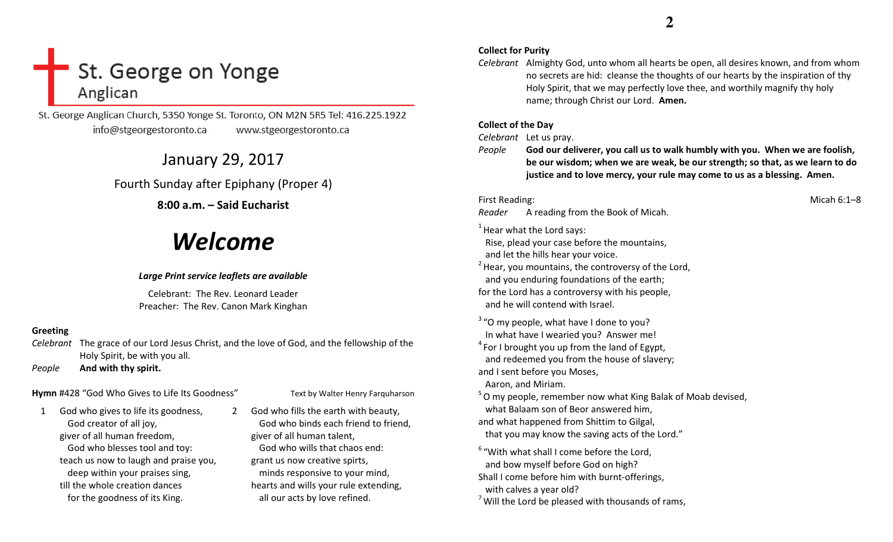## St. George on Yonge Anglican

St. George Anglican Church, 5350 Yonge St. Toronto, ON M2N 5R5 Tel: 416.225.1922 info@stgeorgestoronto.ca www.stgeorgestoronto.ca

## January 29, 2017

## Fourth Sunday after Epiphany (Proper 4)

## 8:00 a.m. – Said Eucharist

# Welcome

#### Large Print service leaflets are available

Celebrant: The Rev. Leonard Leader Preacher: The Rev. Canon Mark Kinghan

### Greeting

Celebrant The grace of our Lord Jesus Christ, and the love of God, and the fellowship of the Holy Spirit, be with you all.

PeopleAnd with thy spirit.

## Hymn #428 "God Who Gives to Life Its Goodness" Text by Walter Henry Farquharson

1 God who gives to life its goodness, God creator of all joy, giver of all human freedom, God who blesses tool and toy: teach us now to laugh and praise you, deep within your praises sing, till the whole creation dances for the goodness of its King.

2 God who fills the earth with beauty, God who binds each friend to friend, giver of all human talent, God who wills that chaos end: grant us now creative spirts, minds responsive to your mind, hearts and wills your rule extending, all our acts by love refined.

#### Collect for Purity

Celebrant Almighty God, unto whom all hearts be open, all desires known, and from whom no secrets are hid: cleanse the thoughts of our hearts by the inspiration of thy Holy Spirit, that we may perfectly love thee, and worthily magnify thy holy name; through Christ our Lord. Amen.

#### Collect of the Day

Celebrant Let us pray.

People God our deliverer, you call us to walk humbly with you. When we are foolish, be our wisdom; when we are weak, be our strength; so that, as we learn to do justice and to love mercy, your rule may come to us as a blessing. Amen.

First Reading: Micah 6:1–8

Reader A reading from the Book of Micah.

 $1$  Hear what the Lord says:

 Rise, plead your case before the mountains, and let the hills hear your voice.

 $<sup>2</sup>$  Hear, you mountains, the controversy of the Lord,</sup> and you enduring foundations of the earth;

for the Lord has a controversy with his people, and he will contend with Israel.

 $3$  "O my people, what have I done to you? In what have I wearied you? Answer me!

 $4$  For I brought you up from the land of Egypt, and redeemed you from the house of slavery;

and I sent before you Moses,

Aaron, and Miriam.

 $5$ O my people, remember now what King Balak of Moab devised, what Balaam son of Beor answered him, and what happened from Shittim to Gilgal, that you may know the saving acts of the Lord."

 $6$  "With what shall I come before the Lord. and bow myself before God on high?

Shall I come before him with burnt-offerings, with calves a year old?

 $7$  Will the Lord be pleased with thousands of rams,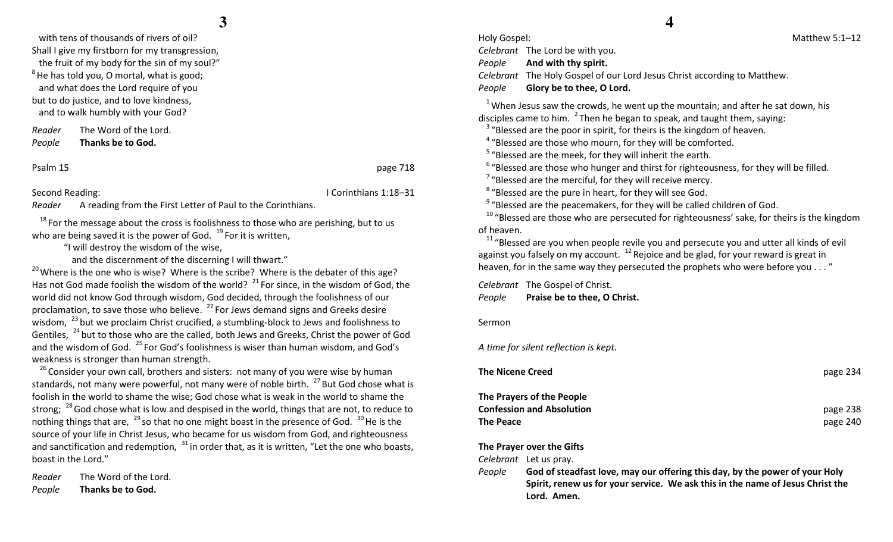with tens of thousands of rivers of oil? Shall I give my firstborn for my transgression, the fruit of my body for the sin of my soul?"  $8$  He has told you, O mortal, what is good; and what does the Lord require of you but to do justice, and to love kindness, and to walk humbly with your God?

Reader The Word of the Lord. PeopleThanks be to God.

Psalm 15 page 718

#### Second Reading: **I Corinthians 1:18–31**

Reader A reading from the First Letter of Paul to the Corinthians.

 $18$  For the message about the cross is foolishness to those who are perishing, but to us who are being saved it is the power of God.  $19$  For it is written,

"I will destroy the wisdom of the wise,

and the discernment of the discerning I will thwart."

 $^{20}$  Where is the one who is wise? Where is the scribe? Where is the debater of this age? Has not God made foolish the wisdom of the world?  $^{21}$  For since, in the wisdom of God, the world did not know God through wisdom, God decided, through the foolishness of our proclamation, to save those who believe.  $^{22}$  For Jews demand signs and Greeks desire wisdom, <sup>23</sup> but we proclaim Christ crucified, a stumbling-block to Jews and foolishness to Gentiles,  $^{24}$  but to those who are the called, both Jews and Greeks, Christ the power of God and the wisdom of God.  $^{25}$  For God's foolishness is wiser than human wisdom, and God's weakness is stronger than human strength.

 $^{26}$ Consider your own call, brothers and sisters: not many of you were wise by human standards, not many were powerful, not many were of noble birth.  $^{27}$  But God chose what is foolish in the world to shame the wise; God chose what is weak in the world to shame the strong;  $^{28}$  God chose what is low and despised in the world, things that are not, to reduce to nothing things that are,  $^{29}$  so that no one might boast in the presence of God.  $^{30}$  He is the source of your life in Christ Jesus, who became for us wisdom from God, and righteousness and sanctification and redemption,  $31$  in order that, as it is written, "Let the one who boasts, boast in the Lord."

Reader The Word of the Lord. PeopleThanks be to God.

## **4**

Holy Gospel: Matthew 5:1–12 Celebrant The Lord be with you. People And with thy spirit. Celebrant The Holy Gospel of our Lord Jesus Christ according to Matthew. PeopleGlory be to thee, O Lord.

 $1$ <sup>1</sup> When Jesus saw the crowds, he went up the mountain; and after he sat down, his disciples came to him.  $^{2}$  Then he began to speak, and taught them, saying:

<sup>3</sup> "Blessed are the poor in spirit, for theirs is the kingdom of heaven.

 $4\degree$  "Blessed are those who mourn, for they will be comforted.

 $5$  "Blessed are the meek, for they will inherit the earth.

 $6\degree$  "Blessed are those who hunger and thirst for righteousness, for they will be filled.

 $7$  "Blessed are the merciful, for they will receive mercy.

<sup>8</sup>"Blessed are the pure in heart, for they will see God.

 $9$  "Blessed are the peacemakers, for they will be called children of God.

 $^{10}$  "Blessed are those who are persecuted for righteousness' sake, for theirs is the kingdom of heaven.

 $11$  "Blessed are you when people revile you and persecute you and utter all kinds of evil against you falsely on my account.  $12$  Rejoice and be glad, for your reward is great in heaven, for in the same way they persecuted the prophets who were before you . . . "

Celebrant The Gospel of Christ. PeoplePraise be to thee, O Christ.

Sermon

A time for silent reflection is kept.

| page 234 |
|----------|
|          |
| page 238 |
| page 240 |
|          |

#### The Prayer over the Gifts

Celebrant Let us pray.

People God of steadfast love, may our offering this day, by the power of your Holy Spirit, renew us for your service. We ask this in the name of Jesus Christ the Lord. Amen.